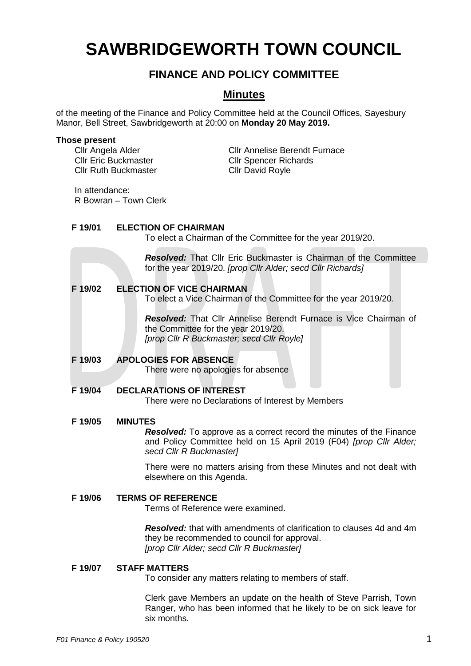# **SAWBRIDGEWORTH TOWN COUNCIL**

# **FINANCE AND POLICY COMMITTEE**

# **Minutes**

of the meeting of the Finance and Policy Committee held at the Council Offices, Sayesbury Manor, Bell Street, Sawbridgeworth at 20:00 on **Monday 20 May 2019.**

#### **Those present**

Cllr Ruth Buckmaster Cllr David Royle

Cllr Angela Alder Cllr Annelise Berendt Furnace Cllr Eric Buckmaster Cllr Spencer Richards

In attendance: R Bowran – Town Clerk

# **F 19/01 ELECTION OF CHAIRMAN**

To elect a Chairman of the Committee for the year 2019/20.

*Resolved:* That Cllr Eric Buckmaster is Chairman of the Committee for the year 2019/20. *[prop Cllr Alder; secd Cllr Richards]*

## **F 19/02 ELECTION OF VICE CHAIRMAN**

To elect a Vice Chairman of the Committee for the year 2019/20.

*Resolved:* That Cllr Annelise Berendt Furnace is Vice Chairman of the Committee for the year 2019/20. *[prop Cllr R Buckmaster; secd Cllr Royle]*

# **F 19/03 APOLOGIES FOR ABSENCE**

There were no apologies for absence

# **F 19/04 DECLARATIONS OF INTEREST**

There were no Declarations of Interest by Members

#### **F 19/05 MINUTES**

*Resolved:* To approve as a correct record the minutes of the Finance and Policy Committee held on 15 April 2019 (F04) *[prop Cllr Alder; secd Cllr R Buckmaster]*

There were no matters arising from these Minutes and not dealt with elsewhere on this Agenda.

#### **F 19/06 TERMS OF REFERENCE**

Terms of Reference were examined.

*Resolved:* that with amendments of clarification to clauses 4d and 4m they be recommended to council for approval. *[prop Cllr Alder; secd Cllr R Buckmaster]*

## **F 19/07 STAFF MATTERS**

To consider any matters relating to members of staff.

Clerk gave Members an update on the health of Steve Parrish, Town Ranger, who has been informed that he likely to be on sick leave for six months.